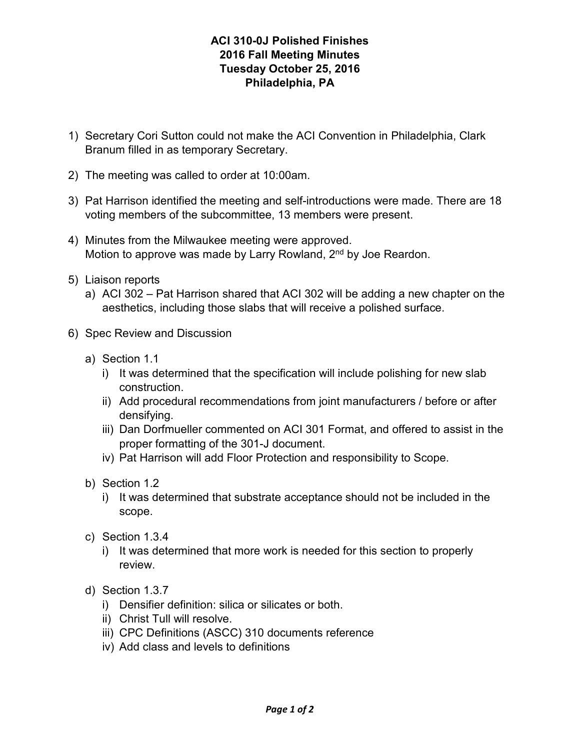## **ACI 310-0J Polished Finishes 2016 Fall Meeting Minutes Tuesday October 25, 2016 Philadelphia, PA**

- 1) Secretary Cori Sutton could not make the ACI Convention in Philadelphia, Clark Branum filled in as temporary Secretary.
- 2) The meeting was called to order at 10:00am.
- 3) Pat Harrison identified the meeting and self-introductions were made. There are 18 voting members of the subcommittee, 13 members were present.
- 4) Minutes from the Milwaukee meeting were approved. Motion to approve was made by Larry Rowland, 2<sup>nd</sup> by Joe Reardon.
- 5) Liaison reports
	- a) ACI 302 Pat Harrison shared that ACI 302 will be adding a new chapter on the aesthetics, including those slabs that will receive a polished surface.
- 6) Spec Review and Discussion
	- a) Section 1.1
		- i) It was determined that the specification will include polishing for new slab construction.
		- ii) Add procedural recommendations from joint manufacturers / before or after densifying.
		- iii) Dan Dorfmueller commented on ACI 301 Format, and offered to assist in the proper formatting of the 301-J document.
		- iv) Pat Harrison will add Floor Protection and responsibility to Scope.
	- b) Section 1.2
		- i) It was determined that substrate acceptance should not be included in the scope.
	- c) Section 1.3.4
		- i) It was determined that more work is needed for this section to properly review.
	- d) Section 1.3.7
		- i) Densifier definition: silica or silicates or both.
		- ii) Christ Tull will resolve.
		- iii) CPC Definitions (ASCC) 310 documents reference
		- iv) Add class and levels to definitions